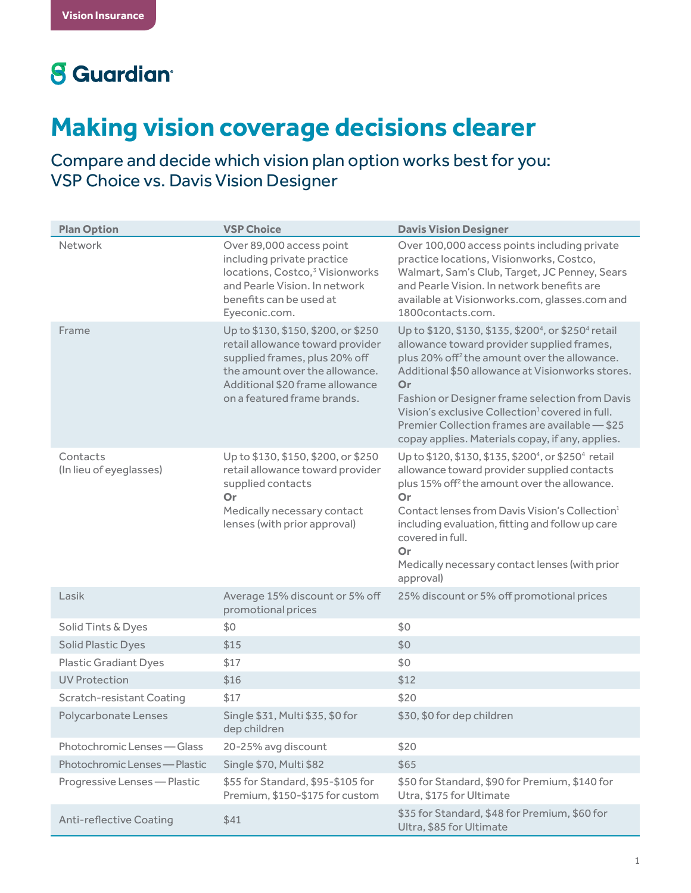## **8** Guardian<sup>®</sup>

## **Making vision coverage decisions clearer**

Compare and decide which vision plan option works best for you: VSP Choice vs. Davis Vision Designer

| <b>Plan Option</b>                  | <b>VSP Choice</b>                                                                                                                                                                                            | <b>Davis Vision Designer</b>                                                                                                                                                                                                                                                                                                                                                                                                                                            |
|-------------------------------------|--------------------------------------------------------------------------------------------------------------------------------------------------------------------------------------------------------------|-------------------------------------------------------------------------------------------------------------------------------------------------------------------------------------------------------------------------------------------------------------------------------------------------------------------------------------------------------------------------------------------------------------------------------------------------------------------------|
| Network                             | Over 89,000 access point<br>including private practice<br>locations, Costco, <sup>3</sup> Visionworks<br>and Pearle Vision. In network<br>benefits can be used at<br>Eyeconic.com.                           | Over 100,000 access points including private<br>practice locations, Visionworks, Costco,<br>Walmart, Sam's Club, Target, JC Penney, Sears<br>and Pearle Vision. In network benefits are<br>available at Visionworks.com, glasses.com and<br>1800contacts.com.                                                                                                                                                                                                           |
| Frame                               | Up to \$130, \$150, \$200, or \$250<br>retail allowance toward provider<br>supplied frames, plus 20% off<br>the amount over the allowance.<br>Additional \$20 frame allowance<br>on a featured frame brands. | Up to \$120, \$130, \$135, \$200 <sup>4</sup> , or \$250 <sup>4</sup> retail<br>allowance toward provider supplied frames,<br>plus 20% off <sup>2</sup> the amount over the allowance.<br>Additional \$50 allowance at Visionworks stores.<br>Or<br>Fashion or Designer frame selection from Davis<br>Vision's exclusive Collection <sup>1</sup> covered in full.<br>Premier Collection frames are available - \$25<br>copay applies. Materials copay, if any, applies. |
| Contacts<br>(In lieu of eyeglasses) | Up to \$130, \$150, \$200, or \$250<br>retail allowance toward provider<br>supplied contacts<br>Or<br>Medically necessary contact<br>lenses (with prior approval)                                            | Up to \$120, \$130, \$135, \$200 <sup>4</sup> , or \$250 <sup>4</sup> retail<br>allowance toward provider supplied contacts<br>plus 15% off <sup>2</sup> the amount over the allowance.<br>Or<br>Contact lenses from Davis Vision's Collection <sup>1</sup><br>including evaluation, fitting and follow up care<br>covered in full.<br>Or<br>Medically necessary contact lenses (with prior<br>approval)                                                                |
| Lasik                               | Average 15% discount or 5% off<br>promotional prices                                                                                                                                                         | 25% discount or 5% off promotional prices                                                                                                                                                                                                                                                                                                                                                                                                                               |
| Solid Tints & Dyes                  | \$0                                                                                                                                                                                                          | \$0                                                                                                                                                                                                                                                                                                                                                                                                                                                                     |
| Solid Plastic Dyes                  | \$15                                                                                                                                                                                                         | \$0                                                                                                                                                                                                                                                                                                                                                                                                                                                                     |
| <b>Plastic Gradiant Dyes</b>        | \$17                                                                                                                                                                                                         | \$0                                                                                                                                                                                                                                                                                                                                                                                                                                                                     |
| <b>UV Protection</b>                | \$16                                                                                                                                                                                                         | \$12                                                                                                                                                                                                                                                                                                                                                                                                                                                                    |
| <b>Scratch-resistant Coating</b>    | \$17                                                                                                                                                                                                         | \$20                                                                                                                                                                                                                                                                                                                                                                                                                                                                    |
| Polycarbonate Lenses                | Single \$31, Multi \$35, \$0 for<br>dep children                                                                                                                                                             | \$30, \$0 for dep children                                                                                                                                                                                                                                                                                                                                                                                                                                              |
| Photochromic Lenses - Glass         | 20-25% avg discount                                                                                                                                                                                          | \$20                                                                                                                                                                                                                                                                                                                                                                                                                                                                    |
| Photochromic Lenses - Plastic       | Single \$70, Multi \$82                                                                                                                                                                                      | \$65                                                                                                                                                                                                                                                                                                                                                                                                                                                                    |
| Progressive Lenses - Plastic        | \$55 for Standard, \$95-\$105 for<br>Premium, \$150-\$175 for custom                                                                                                                                         | \$50 for Standard, \$90 for Premium, \$140 for<br>Utra, \$175 for Ultimate                                                                                                                                                                                                                                                                                                                                                                                              |
| <b>Anti-reflective Coating</b>      | \$41                                                                                                                                                                                                         | \$35 for Standard, \$48 for Premium, \$60 for<br>Ultra, \$85 for Ultimate                                                                                                                                                                                                                                                                                                                                                                                               |